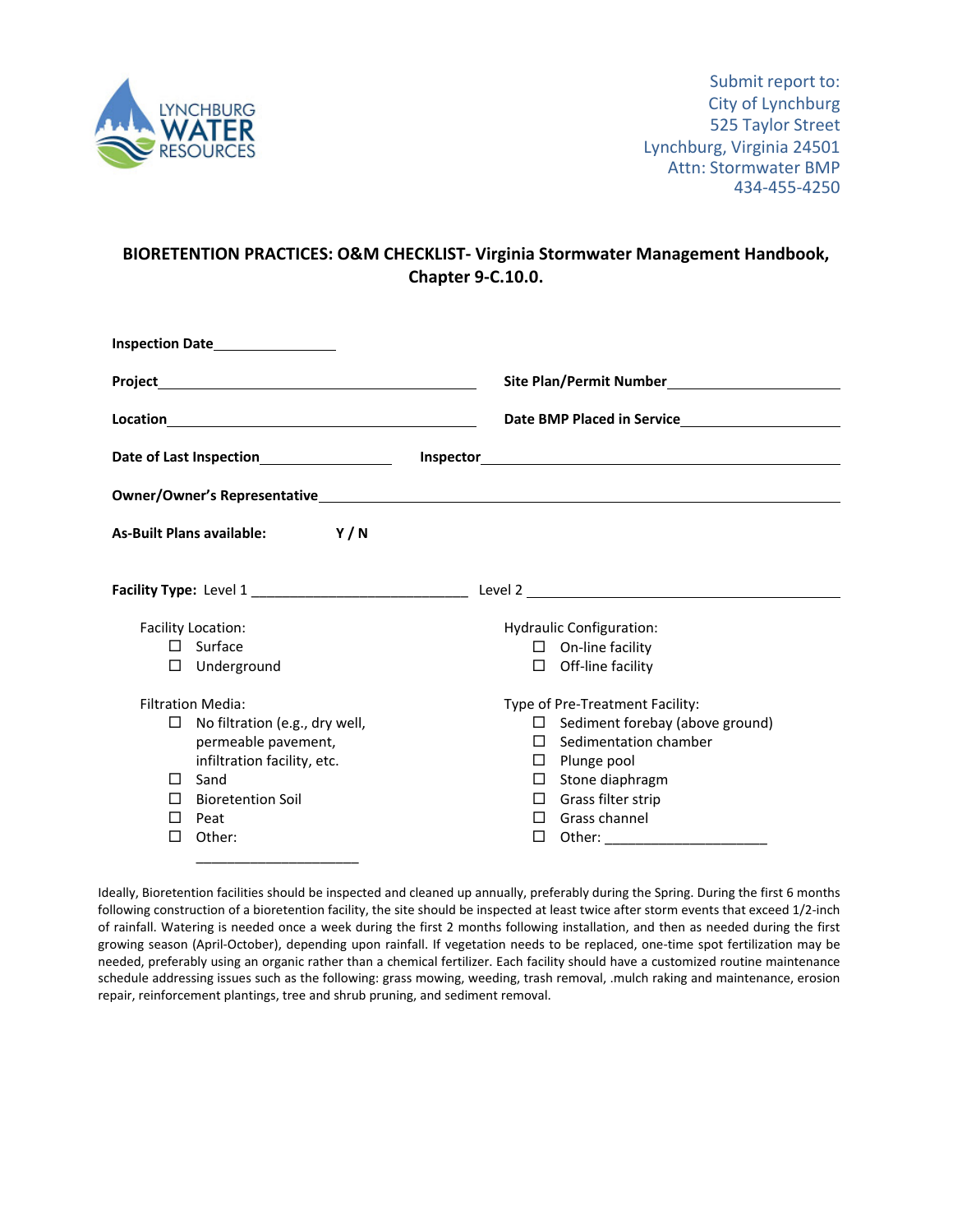

## **BIORETENTION PRACTICES: O&M CHECKLIST‐ Virginia Stormwater Management Handbook, Chapter 9‐C.10.0.**

|                                               | Inspection Date <b>National Properties</b>                                                                                                                                                                                                                                                                                                                         |                                              |                                                           |                                        |  |  |
|-----------------------------------------------|--------------------------------------------------------------------------------------------------------------------------------------------------------------------------------------------------------------------------------------------------------------------------------------------------------------------------------------------------------------------|----------------------------------------------|-----------------------------------------------------------|----------------------------------------|--|--|
|                                               |                                                                                                                                                                                                                                                                                                                                                                    |                                              | Site Plan/Permit Number<br><u>Site Plan/Permit Number</u> |                                        |  |  |
|                                               | $\begin{picture}(150,10) \put(0,0){\vector(1,0){100}} \put(15,0){\vector(1,0){100}} \put(15,0){\vector(1,0){100}} \put(15,0){\vector(1,0){100}} \put(15,0){\vector(1,0){100}} \put(15,0){\vector(1,0){100}} \put(15,0){\vector(1,0){100}} \put(15,0){\vector(1,0){100}} \put(15,0){\vector(1,0){100}} \put(15,0){\vector(1,0){100}} \put(15,0){\vector(1,0){100}}$ | Date BMP Placed in Service <b>Example 20</b> |                                                           |                                        |  |  |
| Date of Last Inspection______________________ |                                                                                                                                                                                                                                                                                                                                                                    |                                              |                                                           |                                        |  |  |
|                                               |                                                                                                                                                                                                                                                                                                                                                                    |                                              |                                                           |                                        |  |  |
|                                               | Y/N<br><b>As-Built Plans available:</b>                                                                                                                                                                                                                                                                                                                            |                                              |                                                           |                                        |  |  |
|                                               |                                                                                                                                                                                                                                                                                                                                                                    |                                              |                                                           |                                        |  |  |
| Facility Location:                            |                                                                                                                                                                                                                                                                                                                                                                    |                                              | <b>Hydraulic Configuration:</b>                           |                                        |  |  |
|                                               | $\square$ Surface                                                                                                                                                                                                                                                                                                                                                  |                                              | $\Box$ On-line facility                                   |                                        |  |  |
|                                               | $\Box$ Underground                                                                                                                                                                                                                                                                                                                                                 |                                              |                                                           | $\Box$ Off-line facility               |  |  |
| <b>Filtration Media:</b>                      |                                                                                                                                                                                                                                                                                                                                                                    |                                              | Type of Pre-Treatment Facility:                           |                                        |  |  |
| П.                                            | No filtration (e.g., dry well,                                                                                                                                                                                                                                                                                                                                     |                                              |                                                           | $\Box$ Sediment forebay (above ground) |  |  |
|                                               | permeable pavement,                                                                                                                                                                                                                                                                                                                                                |                                              |                                                           | $\Box$ Sedimentation chamber           |  |  |
|                                               | infiltration facility, etc.                                                                                                                                                                                                                                                                                                                                        |                                              |                                                           | $\Box$ Plunge pool                     |  |  |
| ΓI                                            | Sand                                                                                                                                                                                                                                                                                                                                                               |                                              |                                                           | $\Box$ Stone diaphragm                 |  |  |
| $\mathsf{L}$                                  | <b>Bioretention Soil</b>                                                                                                                                                                                                                                                                                                                                           |                                              |                                                           | $\Box$ Grass filter strip              |  |  |
| $\mathsf{L}$                                  | Peat                                                                                                                                                                                                                                                                                                                                                               |                                              |                                                           | $\Box$ Grass channel                   |  |  |
| П                                             | Other:                                                                                                                                                                                                                                                                                                                                                             |                                              | п                                                         | Other: _________________________       |  |  |
|                                               |                                                                                                                                                                                                                                                                                                                                                                    |                                              |                                                           |                                        |  |  |

Ideally, Bioretention facilities should be inspected and cleaned up annually, preferably during the Spring. During the first 6 months following construction of a bioretention facility, the site should be inspected at least twice after storm events that exceed 1/2‐inch of rainfall. Watering is needed once a week during the first 2 months following installation, and then as needed during the first growing season (April-October), depending upon rainfall. If vegetation needs to be replaced, one-time spot fertilization may be needed, preferably using an organic rather than a chemical fertilizer. Each facility should have a customized routine maintenance schedule addressing issues such as the following: grass mowing, weeding, trash removal, .mulch raking and maintenance, erosion repair, reinforcement plantings, tree and shrub pruning, and sediment removal.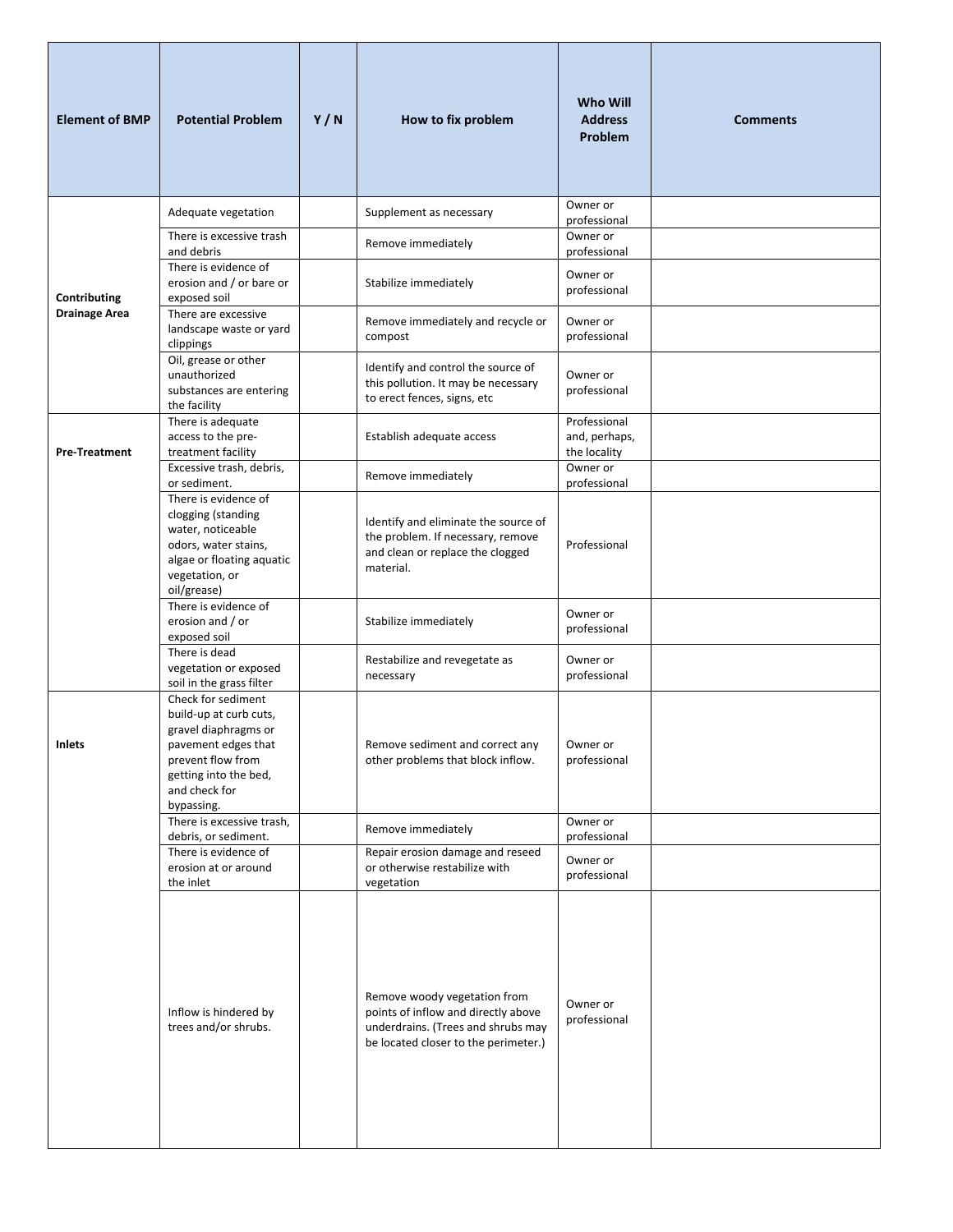| <b>Element of BMP</b> | <b>Potential Problem</b>                                                                                                                                                 | Y/N | How to fix problem                                                                                                                                | <b>Who Will</b><br><b>Address</b><br>Problem  | <b>Comments</b> |
|-----------------------|--------------------------------------------------------------------------------------------------------------------------------------------------------------------------|-----|---------------------------------------------------------------------------------------------------------------------------------------------------|-----------------------------------------------|-----------------|
|                       | Adequate vegetation                                                                                                                                                      |     | Supplement as necessary                                                                                                                           | Owner or<br>professional                      |                 |
|                       | There is excessive trash<br>and debris                                                                                                                                   |     | Remove immediately                                                                                                                                | Owner or<br>professional                      |                 |
| Contributing          | There is evidence of<br>erosion and / or bare or<br>exposed soil                                                                                                         |     | Stabilize immediately                                                                                                                             | Owner or<br>professional                      |                 |
| <b>Drainage Area</b>  | There are excessive<br>landscape waste or yard<br>clippings                                                                                                              |     | Remove immediately and recycle or<br>compost                                                                                                      | Owner or<br>professional                      |                 |
|                       | Oil, grease or other<br>unauthorized<br>substances are entering<br>the facility                                                                                          |     | Identify and control the source of<br>this pollution. It may be necessary<br>to erect fences, signs, etc                                          | Owner or<br>professional                      |                 |
| <b>Pre-Treatment</b>  | There is adequate<br>access to the pre-<br>treatment facility                                                                                                            |     | Establish adequate access                                                                                                                         | Professional<br>and, perhaps,<br>the locality |                 |
|                       | Excessive trash, debris,<br>or sediment.                                                                                                                                 |     | Remove immediately                                                                                                                                | Owner or<br>professional                      |                 |
|                       | There is evidence of<br>clogging (standing<br>water, noticeable<br>odors, water stains,<br>algae or floating aquatic<br>vegetation, or<br>oil/grease)                    |     | Identify and eliminate the source of<br>the problem. If necessary, remove<br>and clean or replace the clogged<br>material.                        | Professional                                  |                 |
|                       | There is evidence of<br>erosion and / or<br>exposed soil                                                                                                                 |     | Stabilize immediately                                                                                                                             | Owner or<br>professional                      |                 |
|                       | There is dead<br>vegetation or exposed<br>soil in the grass filter                                                                                                       |     | Restabilize and revegetate as<br>necessary                                                                                                        | Owner or<br>professional                      |                 |
| Inlets                | Check for sediment<br>build-up at curb cuts,<br>gravel diaphragms or<br>pavement edges that<br>prevent flow from<br>getting into the bed,<br>and check for<br>bypassing. |     | Remove sediment and correct any<br>other problems that block inflow.                                                                              | Owner or<br>professional                      |                 |
|                       | There is excessive trash,<br>debris, or sediment.                                                                                                                        |     | Remove immediately                                                                                                                                | Owner or<br>professional                      |                 |
|                       | There is evidence of<br>erosion at or around<br>the inlet                                                                                                                |     | Repair erosion damage and reseed<br>or otherwise restabilize with<br>vegetation                                                                   | Owner or<br>professional                      |                 |
|                       | Inflow is hindered by<br>trees and/or shrubs.                                                                                                                            |     | Remove woody vegetation from<br>points of inflow and directly above<br>underdrains. (Trees and shrubs may<br>be located closer to the perimeter.) | Owner or<br>professional                      |                 |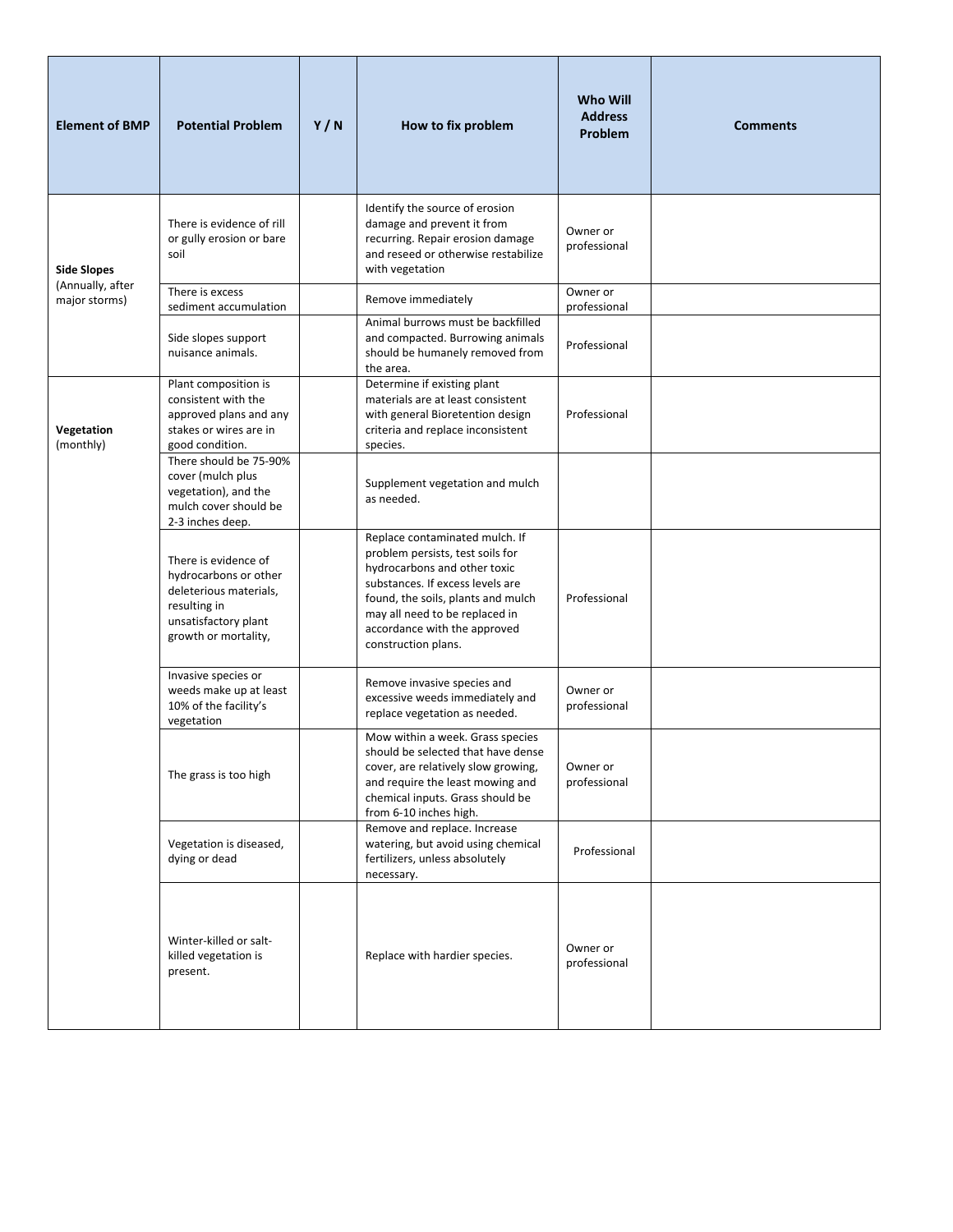| <b>Element of BMP</b>             | <b>Potential Problem</b>                                                                                                                | Y/N | How to fix problem                                                                                                                                                                                                                                                    | <b>Who Will</b><br><b>Address</b><br>Problem | <b>Comments</b> |
|-----------------------------------|-----------------------------------------------------------------------------------------------------------------------------------------|-----|-----------------------------------------------------------------------------------------------------------------------------------------------------------------------------------------------------------------------------------------------------------------------|----------------------------------------------|-----------------|
| <b>Side Slopes</b>                | There is evidence of rill<br>or gully erosion or bare<br>soil                                                                           |     | Identify the source of erosion<br>damage and prevent it from<br>recurring. Repair erosion damage<br>and reseed or otherwise restabilize<br>with vegetation                                                                                                            | Owner or<br>professional                     |                 |
| (Annually, after<br>major storms) | There is excess<br>sediment accumulation                                                                                                |     | Remove immediately                                                                                                                                                                                                                                                    | Owner or<br>professional                     |                 |
|                                   | Side slopes support<br>nuisance animals.                                                                                                |     | Animal burrows must be backfilled<br>and compacted. Burrowing animals<br>should be humanely removed from<br>the area.                                                                                                                                                 | Professional                                 |                 |
| Vegetation<br>(monthly)           | Plant composition is<br>consistent with the<br>approved plans and any<br>stakes or wires are in<br>good condition.                      |     | Determine if existing plant<br>materials are at least consistent<br>with general Bioretention design<br>criteria and replace inconsistent<br>species.                                                                                                                 | Professional                                 |                 |
|                                   | There should be 75-90%<br>cover (mulch plus<br>vegetation), and the<br>mulch cover should be<br>2-3 inches deep.                        |     | Supplement vegetation and mulch<br>as needed.                                                                                                                                                                                                                         |                                              |                 |
|                                   | There is evidence of<br>hydrocarbons or other<br>deleterious materials,<br>resulting in<br>unsatisfactory plant<br>growth or mortality, |     | Replace contaminated mulch. If<br>problem persists, test soils for<br>hydrocarbons and other toxic<br>substances. If excess levels are<br>found, the soils, plants and mulch<br>may all need to be replaced in<br>accordance with the approved<br>construction plans. | Professional                                 |                 |
|                                   | Invasive species or<br>weeds make up at least<br>10% of the facility's<br>vegetation                                                    |     | Remove invasive species and<br>excessive weeds immediately and<br>replace vegetation as needed.                                                                                                                                                                       | Owner or<br>professional                     |                 |
|                                   | The grass is too high                                                                                                                   |     | Mow within a week. Grass species<br>should be selected that have dense<br>cover, are relatively slow growing,<br>and require the least mowing and<br>chemical inputs. Grass should be<br>from 6-10 inches high.                                                       | Owner or<br>professional                     |                 |
|                                   | Vegetation is diseased,<br>dying or dead                                                                                                |     | Remove and replace. Increase<br>watering, but avoid using chemical<br>fertilizers, unless absolutely<br>necessary.                                                                                                                                                    | Professional                                 |                 |
|                                   | Winter-killed or salt-<br>killed vegetation is<br>present.                                                                              |     | Replace with hardier species.                                                                                                                                                                                                                                         | Owner or<br>professional                     |                 |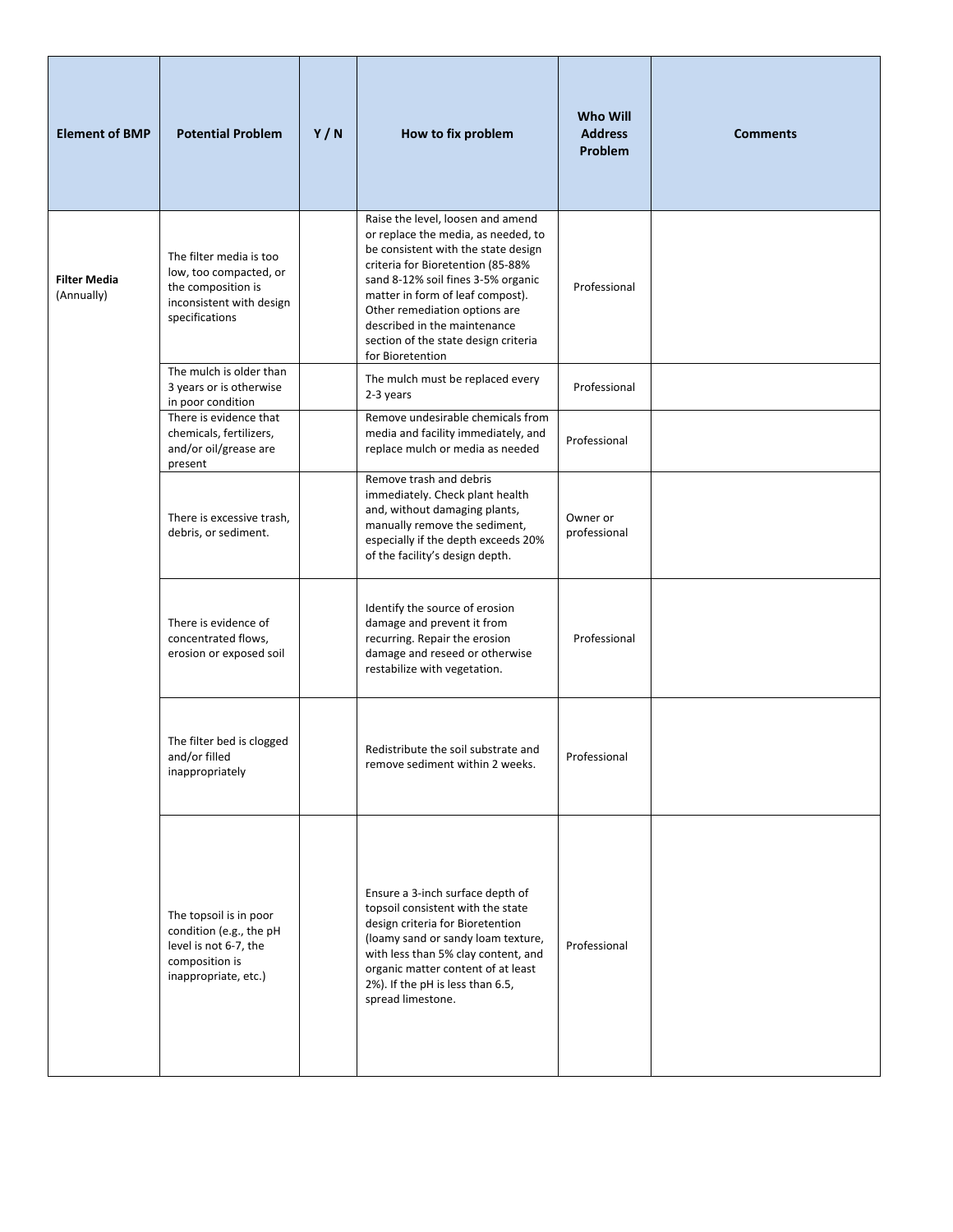| <b>Element of BMP</b>             | <b>Potential Problem</b>                                                                                              | Y/N | How to fix problem                                                                                                                                                                                                                                                                                                                                          | <b>Who Will</b><br><b>Address</b><br>Problem | <b>Comments</b> |
|-----------------------------------|-----------------------------------------------------------------------------------------------------------------------|-----|-------------------------------------------------------------------------------------------------------------------------------------------------------------------------------------------------------------------------------------------------------------------------------------------------------------------------------------------------------------|----------------------------------------------|-----------------|
| <b>Filter Media</b><br>(Annually) | The filter media is too<br>low, too compacted, or<br>the composition is<br>inconsistent with design<br>specifications |     | Raise the level, loosen and amend<br>or replace the media, as needed, to<br>be consistent with the state design<br>criteria for Bioretention (85-88%<br>sand 8-12% soil fines 3-5% organic<br>matter in form of leaf compost).<br>Other remediation options are<br>described in the maintenance<br>section of the state design criteria<br>for Bioretention | Professional                                 |                 |
|                                   | The mulch is older than<br>3 years or is otherwise<br>in poor condition                                               |     | The mulch must be replaced every<br>2-3 years                                                                                                                                                                                                                                                                                                               | Professional                                 |                 |
|                                   | There is evidence that<br>chemicals, fertilizers,<br>and/or oil/grease are<br>present                                 |     | Remove undesirable chemicals from<br>media and facility immediately, and<br>replace mulch or media as needed                                                                                                                                                                                                                                                | Professional                                 |                 |
|                                   | There is excessive trash,<br>debris, or sediment.                                                                     |     | Remove trash and debris<br>immediately. Check plant health<br>and, without damaging plants,<br>manually remove the sediment,<br>especially if the depth exceeds 20%<br>of the facility's design depth.                                                                                                                                                      | Owner or<br>professional                     |                 |
|                                   | There is evidence of<br>concentrated flows,<br>erosion or exposed soil                                                |     | Identify the source of erosion<br>damage and prevent it from<br>recurring. Repair the erosion<br>damage and reseed or otherwise<br>restabilize with vegetation.                                                                                                                                                                                             | Professional                                 |                 |
|                                   | The filter bed is clogged<br>and/or filled<br>inappropriately                                                         |     | Redistribute the soil substrate and<br>remove sediment within 2 weeks.                                                                                                                                                                                                                                                                                      | Professional                                 |                 |
|                                   | The topsoil is in poor<br>condition (e.g., the pH<br>level is not 6-7, the<br>composition is<br>inappropriate, etc.)  |     | Ensure a 3-inch surface depth of<br>topsoil consistent with the state<br>design criteria for Bioretention<br>(loamy sand or sandy loam texture,<br>with less than 5% clay content, and<br>organic matter content of at least<br>2%). If the pH is less than 6.5,<br>spread limestone.                                                                       | Professional                                 |                 |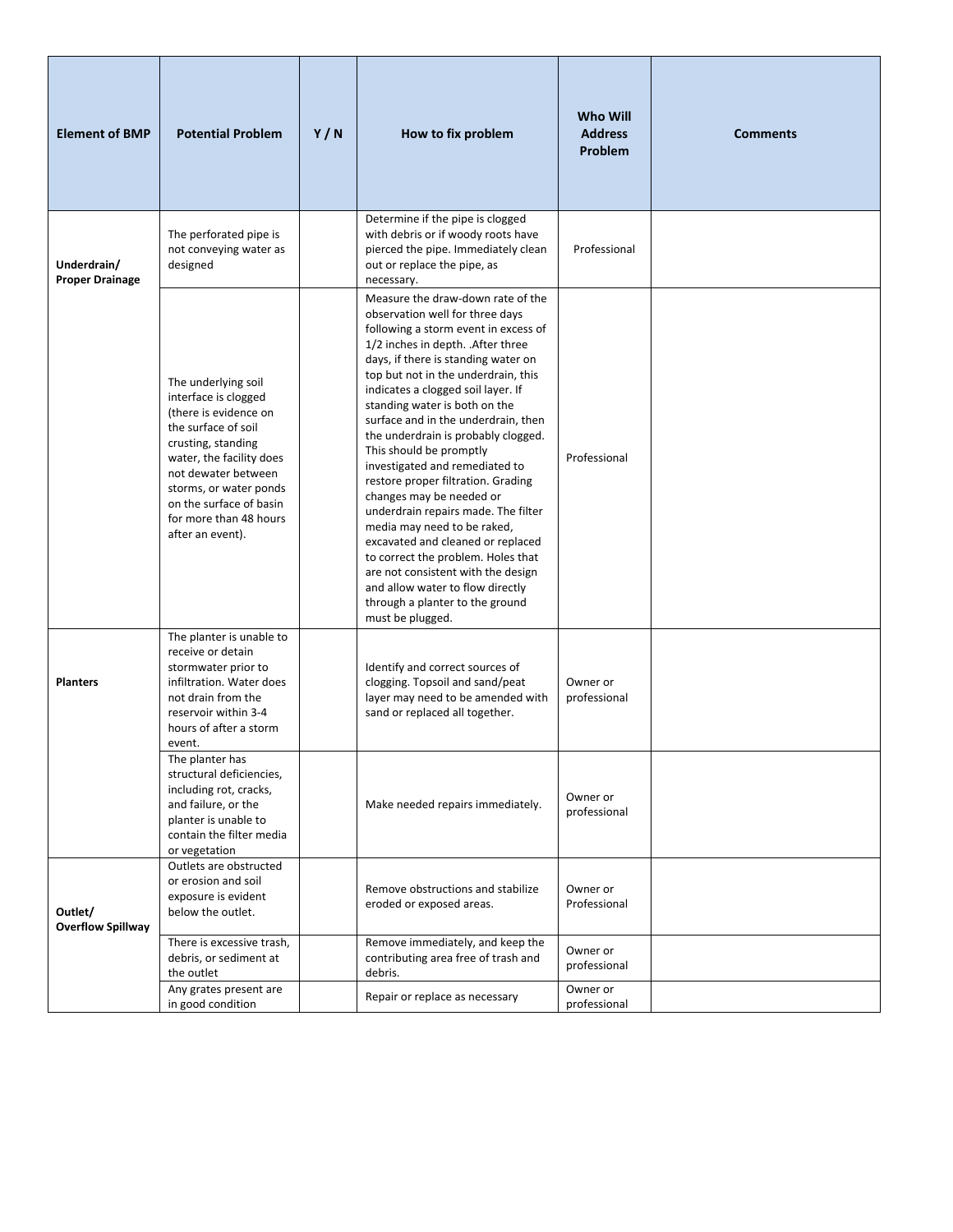| <b>Element of BMP</b>                 | <b>Potential Problem</b>                                                                                                                                                                                                                                                | Y/N | How to fix problem                                                                                                                                                                                                                                                                                                                                                                                                                                                                                                                                                                                                                                                                                                                                                                                     | <b>Who Will</b><br><b>Address</b><br>Problem | <b>Comments</b> |
|---------------------------------------|-------------------------------------------------------------------------------------------------------------------------------------------------------------------------------------------------------------------------------------------------------------------------|-----|--------------------------------------------------------------------------------------------------------------------------------------------------------------------------------------------------------------------------------------------------------------------------------------------------------------------------------------------------------------------------------------------------------------------------------------------------------------------------------------------------------------------------------------------------------------------------------------------------------------------------------------------------------------------------------------------------------------------------------------------------------------------------------------------------------|----------------------------------------------|-----------------|
| Underdrain/<br><b>Proper Drainage</b> | The perforated pipe is<br>not conveying water as<br>designed                                                                                                                                                                                                            |     | Determine if the pipe is clogged<br>with debris or if woody roots have<br>pierced the pipe. Immediately clean<br>out or replace the pipe, as<br>necessary.                                                                                                                                                                                                                                                                                                                                                                                                                                                                                                                                                                                                                                             | Professional                                 |                 |
|                                       | The underlying soil<br>interface is clogged<br>(there is evidence on<br>the surface of soil<br>crusting, standing<br>water, the facility does<br>not dewater between<br>storms, or water ponds<br>on the surface of basin<br>for more than 48 hours<br>after an event). |     | Measure the draw-down rate of the<br>observation well for three days<br>following a storm event in excess of<br>1/2 inches in depth. . After three<br>days, if there is standing water on<br>top but not in the underdrain, this<br>indicates a clogged soil layer. If<br>standing water is both on the<br>surface and in the underdrain, then<br>the underdrain is probably clogged.<br>This should be promptly<br>investigated and remediated to<br>restore proper filtration. Grading<br>changes may be needed or<br>underdrain repairs made. The filter<br>media may need to be raked,<br>excavated and cleaned or replaced<br>to correct the problem. Holes that<br>are not consistent with the design<br>and allow water to flow directly<br>through a planter to the ground<br>must be plugged. | Professional                                 |                 |
| <b>Planters</b>                       | The planter is unable to<br>receive or detain<br>stormwater prior to<br>infiltration. Water does<br>not drain from the<br>reservoir within 3-4<br>hours of after a storm<br>event.                                                                                      |     | Identify and correct sources of<br>clogging. Topsoil and sand/peat<br>layer may need to be amended with<br>sand or replaced all together.                                                                                                                                                                                                                                                                                                                                                                                                                                                                                                                                                                                                                                                              | Owner or<br>professional                     |                 |
|                                       | The planter has<br>structural deficiencies,<br>including rot, cracks,<br>and failure, or the<br>planter is unable to<br>contain the filter media<br>or vegetation                                                                                                       |     | Make needed repairs immediately.                                                                                                                                                                                                                                                                                                                                                                                                                                                                                                                                                                                                                                                                                                                                                                       | Owner or<br>professional                     |                 |
| Outlet/<br><b>Overflow Spillway</b>   | Outlets are obstructed<br>or erosion and soil<br>exposure is evident<br>below the outlet.                                                                                                                                                                               |     | Remove obstructions and stabilize<br>eroded or exposed areas.<br>Remove immediately, and keep the                                                                                                                                                                                                                                                                                                                                                                                                                                                                                                                                                                                                                                                                                                      | Owner or<br>Professional                     |                 |
|                                       | There is excessive trash,<br>debris, or sediment at<br>the outlet<br>Any grates present are                                                                                                                                                                             |     | contributing area free of trash and<br>debris.                                                                                                                                                                                                                                                                                                                                                                                                                                                                                                                                                                                                                                                                                                                                                         | Owner or<br>professional<br>Owner or         |                 |
|                                       | in good condition                                                                                                                                                                                                                                                       |     | Repair or replace as necessary                                                                                                                                                                                                                                                                                                                                                                                                                                                                                                                                                                                                                                                                                                                                                                         | professional                                 |                 |